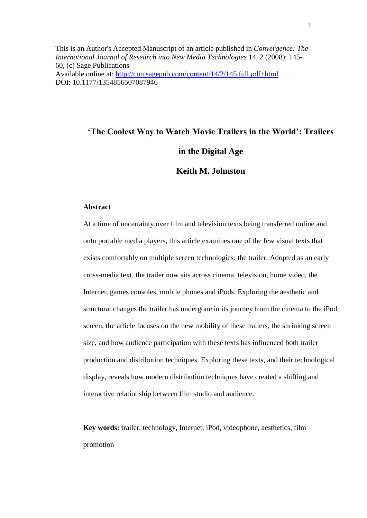This is an Author's Accepted Manuscript of an article published in *Convergence: The International Journal of Research into New Media Technologies* 14, 2 (2008): 145- 60, (c) Sage Publications Available online at: <http://con.sagepub.com/content/14/2/145.full.pdf+html> DOI: 10.1177/1354856507087946

# **'The Coolest Way to Watch Movie Trailers in the World': Trailers in the Digital Age Keith M. Johnston**

# **Abstract**

At a time of uncertainty over film and television texts being transferred online and onto portable media players, this article examines one of the few visual texts that exists comfortably on multiple screen technologies: the trailer. Adopted as an early cross-media text, the trailer now sits across cinema, television, home video, the Internet, games consoles, mobile phones and iPods. Exploring the aesthetic and structural changes the trailer has undergone in its journey from the cinema to the iPod screen, the article focuses on the new mobility of these trailers, the shrinking screen size, and how audience participation with these texts has influenced both trailer production and distribution techniques. Exploring these texts, and their technological display, reveals how modern distribution techniques have created a shifting and interactive relationship between film studio and audience.

**Key words:** trailer, technology, Internet, iPod, videophone, aesthetics, film promotion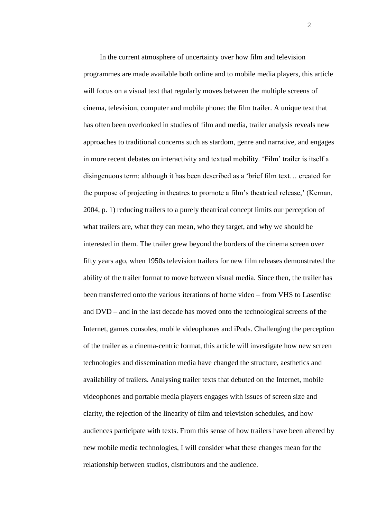In the current atmosphere of uncertainty over how film and television programmes are made available both online and to mobile media players, this article will focus on a visual text that regularly moves between the multiple screens of cinema, television, computer and mobile phone: the film trailer. A unique text that has often been overlooked in studies of film and media, trailer analysis reveals new approaches to traditional concerns such as stardom, genre and narrative, and engages in more recent debates on interactivity and textual mobility. 'Film' trailer is itself a disingenuous term: although it has been described as a 'brief film text… created for the purpose of projecting in theatres to promote a film's theatrical release,' (Kernan, 2004, p. 1) reducing trailers to a purely theatrical concept limits our perception of what trailers are, what they can mean, who they target, and why we should be interested in them. The trailer grew beyond the borders of the cinema screen over fifty years ago, when 1950s television trailers for new film releases demonstrated the ability of the trailer format to move between visual media. Since then, the trailer has been transferred onto the various iterations of home video – from VHS to Laserdisc and DVD – and in the last decade has moved onto the technological screens of the Internet, games consoles, mobile videophones and iPods. Challenging the perception of the trailer as a cinema-centric format, this article will investigate how new screen technologies and dissemination media have changed the structure, aesthetics and availability of trailers. Analysing trailer texts that debuted on the Internet, mobile videophones and portable media players engages with issues of screen size and clarity, the rejection of the linearity of film and television schedules, and how audiences participate with texts. From this sense of how trailers have been altered by new mobile media technologies, I will consider what these changes mean for the relationship between studios, distributors and the audience.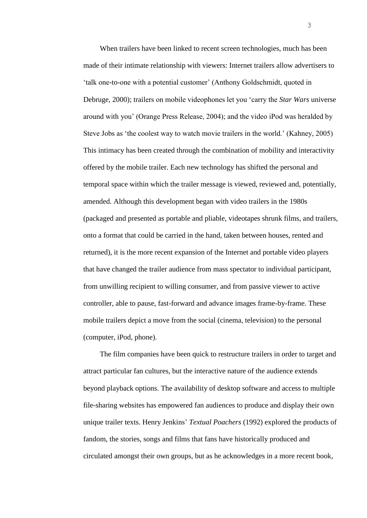When trailers have been linked to recent screen technologies, much has been made of their intimate relationship with viewers: Internet trailers allow advertisers to 'talk one-to-one with a potential customer' (Anthony Goldschmidt, quoted in Debruge, 2000); trailers on mobile videophones let you 'carry the *Star Wars* universe around with you' (Orange Press Release, 2004); and the video iPod was heralded by Steve Jobs as 'the coolest way to watch movie trailers in the world.' (Kahney, 2005) This intimacy has been created through the combination of mobility and interactivity offered by the mobile trailer. Each new technology has shifted the personal and temporal space within which the trailer message is viewed, reviewed and, potentially, amended. Although this development began with video trailers in the 1980s (packaged and presented as portable and pliable, videotapes shrunk films, and trailers, onto a format that could be carried in the hand, taken between houses, rented and returned), it is the more recent expansion of the Internet and portable video players that have changed the trailer audience from mass spectator to individual participant, from unwilling recipient to willing consumer, and from passive viewer to active controller, able to pause, fast-forward and advance images frame-by-frame. These mobile trailers depict a move from the social (cinema, television) to the personal (computer, iPod, phone).

The film companies have been quick to restructure trailers in order to target and attract particular fan cultures, but the interactive nature of the audience extends beyond playback options. The availability of desktop software and access to multiple file-sharing websites has empowered fan audiences to produce and display their own unique trailer texts. Henry Jenkins' *Textual Poachers* (1992) explored the products of fandom, the stories, songs and films that fans have historically produced and circulated amongst their own groups, but as he acknowledges in a more recent book,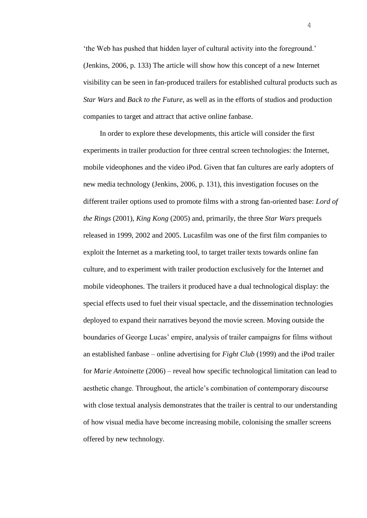'the Web has pushed that hidden layer of cultural activity into the foreground.' (Jenkins, 2006, p. 133) The article will show how this concept of a new Internet visibility can be seen in fan-produced trailers for established cultural products such as *Star Wars* and *Back to the Future*, as well as in the efforts of studios and production companies to target and attract that active online fanbase.

In order to explore these developments, this article will consider the first experiments in trailer production for three central screen technologies: the Internet, mobile videophones and the video iPod. Given that fan cultures are early adopters of new media technology (Jenkins, 2006, p. 131), this investigation focuses on the different trailer options used to promote films with a strong fan-oriented base: *Lord of the Rings* (2001), *King Kong* (2005) and, primarily, the three *Star Wars* prequels released in 1999, 2002 and 2005. Lucasfilm was one of the first film companies to exploit the Internet as a marketing tool, to target trailer texts towards online fan culture, and to experiment with trailer production exclusively for the Internet and mobile videophones. The trailers it produced have a dual technological display: the special effects used to fuel their visual spectacle, and the dissemination technologies deployed to expand their narratives beyond the movie screen. Moving outside the boundaries of George Lucas' empire, analysis of trailer campaigns for films without an established fanbase – online advertising for *Fight Club* (1999) and the iPod trailer for *Marie Antoinette* (2006) – reveal how specific technological limitation can lead to aesthetic change. Throughout, the article's combination of contemporary discourse with close textual analysis demonstrates that the trailer is central to our understanding of how visual media have become increasing mobile, colonising the smaller screens offered by new technology.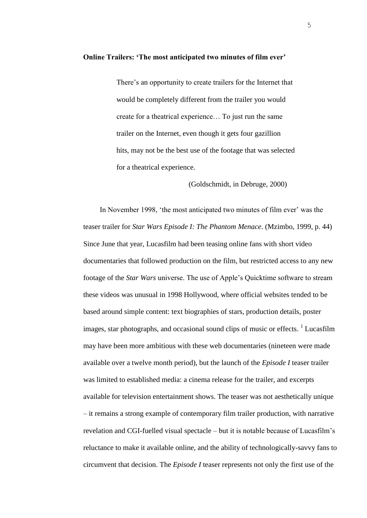There's an opportunity to create trailers for the Internet that would be completely different from the trailer you would create for a theatrical experience… To just run the same trailer on the Internet, even though it gets four gazillion hits, may not be the best use of the footage that was selected for a theatrical experience.

(Goldschmidt, in Debruge, 2000)

In November 1998, 'the most anticipated two minutes of film ever' was the teaser trailer for *Star Wars Episode I: The Phantom Menace*. (Mzimbo, 1999, p. 44) Since June that year, Lucasfilm had been teasing online fans with short video documentaries that followed production on the film, but restricted access to any new footage of the *Star Wars* universe. The use of Apple's Quicktime software to stream these videos was unusual in 1998 Hollywood, where official websites tended to be based around simple content: text biographies of stars, production details, poster images, star photographs, and occasional sound clips of music or effects.  $\frac{1}{1}$  Lucasfilm may have been more ambitious with these web documentaries (nineteen were made available over a twelve month period), but the launch of the *Episode I* teaser trailer was limited to established media: a cinema release for the trailer, and excerpts available for television entertainment shows. The teaser was not aesthetically unique – it remains a strong example of contemporary film trailer production, with narrative revelation and CGI-fuelled visual spectacle – but it is notable because of Lucasfilm's reluctance to make it available online, and the ability of technologically-savvy fans to circumvent that decision. The *Episode I* teaser represents not only the first use of the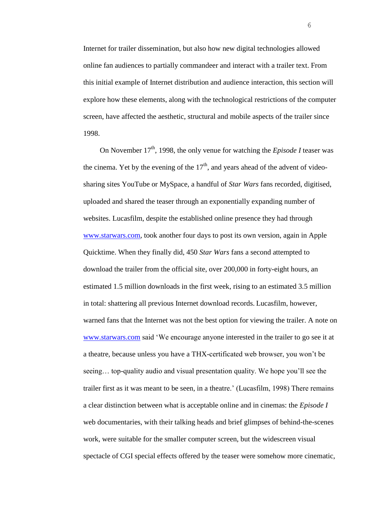Internet for trailer dissemination, but also how new digital technologies allowed online fan audiences to partially commandeer and interact with a trailer text. From this initial example of Internet distribution and audience interaction, this section will explore how these elements, along with the technological restrictions of the computer screen, have affected the aesthetic, structural and mobile aspects of the trailer since 1998.

On November 17<sup>th</sup>, 1998, the only venue for watching the *Episode I* teaser was the cinema. Yet by the evening of the  $17<sup>th</sup>$ , and years ahead of the advent of videosharing sites YouTube or MySpace, a handful of *Star Wars* fans recorded, digitised, uploaded and shared the teaser through an exponentially expanding number of websites. Lucasfilm, despite the established online presence they had through [www.starwars.com,](http://www.starwars.com/) took another four days to post its own version, again in Apple Quicktime. When they finally did, 450 *Star Wars* fans a second attempted to download the trailer from the official site, over 200,000 in forty-eight hours, an estimated 1.5 million downloads in the first week, rising to an estimated 3.5 million in total: shattering all previous Internet download records. Lucasfilm, however, warned fans that the Internet was not the best option for viewing the trailer. A note on [www.starwars.com](http://www.starwars.com/) said 'We encourage anyone interested in the trailer to go see it at a theatre, because unless you have a THX-certificated web browser, you won't be seeing… top-quality audio and visual presentation quality. We hope you'll see the trailer first as it was meant to be seen, in a theatre.' (Lucasfilm, 1998) There remains a clear distinction between what is acceptable online and in cinemas: the *Episode I*  web documentaries, with their talking heads and brief glimpses of behind-the-scenes work, were suitable for the smaller computer screen, but the widescreen visual spectacle of CGI special effects offered by the teaser were somehow more cinematic,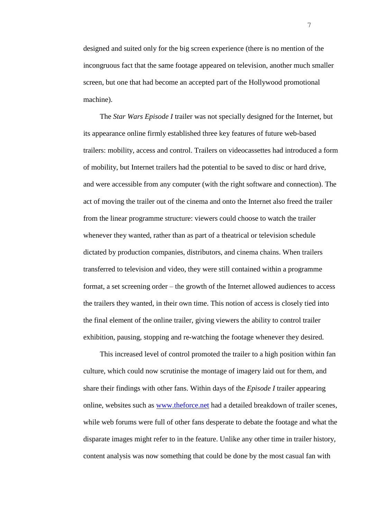designed and suited only for the big screen experience (there is no mention of the incongruous fact that the same footage appeared on television, another much smaller screen, but one that had become an accepted part of the Hollywood promotional machine).

The *Star Wars Episode I* trailer was not specially designed for the Internet, but its appearance online firmly established three key features of future web-based trailers: mobility, access and control. Trailers on videocassettes had introduced a form of mobility, but Internet trailers had the potential to be saved to disc or hard drive, and were accessible from any computer (with the right software and connection). The act of moving the trailer out of the cinema and onto the Internet also freed the trailer from the linear programme structure: viewers could choose to watch the trailer whenever they wanted, rather than as part of a theatrical or television schedule dictated by production companies, distributors, and cinema chains. When trailers transferred to television and video, they were still contained within a programme format, a set screening order – the growth of the Internet allowed audiences to access the trailers they wanted, in their own time. This notion of access is closely tied into the final element of the online trailer, giving viewers the ability to control trailer exhibition, pausing, stopping and re-watching the footage whenever they desired.

This increased level of control promoted the trailer to a high position within fan culture, which could now scrutinise the montage of imagery laid out for them, and share their findings with other fans. Within days of the *Episode I* trailer appearing online, websites such as [www.theforce.net](http://www.theforce.net/) had a detailed breakdown of trailer scenes, while web forums were full of other fans desperate to debate the footage and what the disparate images might refer to in the feature. Unlike any other time in trailer history, content analysis was now something that could be done by the most casual fan with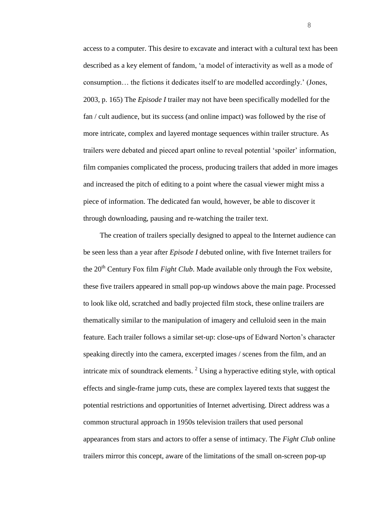access to a computer. This desire to excavate and interact with a cultural text has been described as a key element of fandom, 'a model of interactivity as well as a mode of consumption… the fictions it dedicates itself to are modelled accordingly.' (Jones, 2003, p. 165) The *Episode I* trailer may not have been specifically modelled for the fan / cult audience, but its success (and online impact) was followed by the rise of more intricate, complex and layered montage sequences within trailer structure. As trailers were debated and pieced apart online to reveal potential 'spoiler' information, film companies complicated the process, producing trailers that added in more images and increased the pitch of editing to a point where the casual viewer might miss a piece of information. The dedicated fan would, however, be able to discover it through downloading, pausing and re-watching the trailer text.

The creation of trailers specially designed to appeal to the Internet audience can be seen less than a year after *Episode I* debuted online, with five Internet trailers for the  $20<sup>th</sup>$  Century Fox film *Fight Club*. Made available only through the Fox website, these five trailers appeared in small pop-up windows above the main page. Processed to look like old, scratched and badly projected film stock, these online trailers are thematically similar to the manipulation of imagery and celluloid seen in the main feature. Each trailer follows a similar set-up: close-ups of Edward Norton's character speaking directly into the camera, excerpted images / scenes from the film, and an intricate mix of soundtrack elements.  $2 \text{ Using a hyperactive editing style, with optical}$ effects and single-frame jump cuts, these are complex layered texts that suggest the potential restrictions and opportunities of Internet advertising. Direct address was a common structural approach in 1950s television trailers that used personal appearances from stars and actors to offer a sense of intimacy. The *Fight Club* online trailers mirror this concept, aware of the limitations of the small on-screen pop-up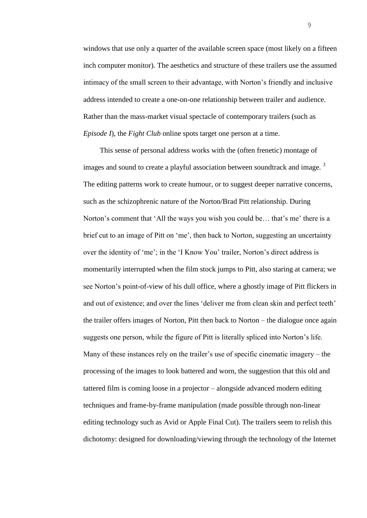windows that use only a quarter of the available screen space (most likely on a fifteen inch computer monitor). The aesthetics and structure of these trailers use the assumed intimacy of the small screen to their advantage, with Norton's friendly and inclusive address intended to create a one-on-one relationship between trailer and audience. Rather than the mass-market visual spectacle of contemporary trailers (such as *Episode I*), the *Fight Club* online spots target one person at a time.

This sense of personal address works with the (often frenetic) montage of images and sound to create a playful association between soundtrack and image.<sup>3</sup> The editing patterns work to create humour, or to suggest deeper narrative concerns, such as the schizophrenic nature of the Norton/Brad Pitt relationship. During Norton's comment that 'All the ways you wish you could be… that's me' there is a brief cut to an image of Pitt on 'me', then back to Norton, suggesting an uncertainty over the identity of 'me'; in the 'I Know You' trailer, Norton's direct address is momentarily interrupted when the film stock jumps to Pitt, also staring at camera; we see Norton's point-of-view of his dull office, where a ghostly image of Pitt flickers in and out of existence; and over the lines 'deliver me from clean skin and perfect teeth' the trailer offers images of Norton, Pitt then back to Norton – the dialogue once again suggests one person, while the figure of Pitt is literally spliced into Norton's life. Many of these instances rely on the trailer's use of specific cinematic imagery – the processing of the images to look battered and worn, the suggestion that this old and tattered film is coming loose in a projector – alongside advanced modern editing techniques and frame-by-frame manipulation (made possible through non-linear editing technology such as Avid or Apple Final Cut). The trailers seem to relish this dichotomy: designed for downloading/viewing through the technology of the Internet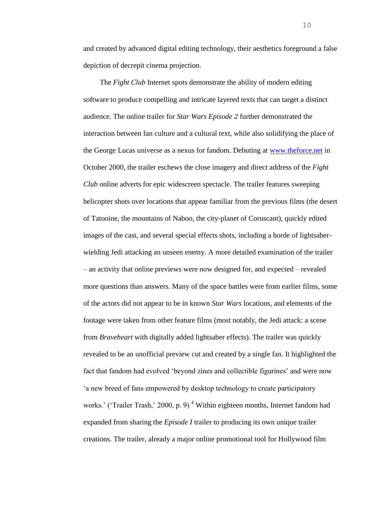and created by advanced digital editing technology, their aesthetics foreground a false depiction of decrepit cinema projection.

The *Fight Club* Internet spots demonstrate the ability of modern editing software to produce compelling and intricate layered texts that can target a distinct audience. The online trailer for *Star Wars Episode 2* further demonstrated the interaction between fan culture and a cultural text, while also solidifying the place of the George Lucas universe as a nexus for fandom. Debuting at [www.theforce.net](http://www.theforce.net/) in October 2000, the trailer eschews the close imagery and direct address of the *Fight Club* online adverts for epic widescreen spectacle. The trailer features sweeping helicopter shots over locations that appear familiar from the previous films (the desert of Tatooine, the mountains of Naboo, the city-planet of Coruscant), quickly edited images of the cast, and several special effects shots, including a horde of lightsaberwielding Jedi attacking an unseen enemy. A more detailed examination of the trailer – an activity that online previews were now designed for, and expected – revealed more questions than answers. Many of the space battles were from earlier films, some of the actors did not appear to be in known *Star Wars* locations, and elements of the footage were taken from other feature films (most notably, the Jedi attack: a scene from *Braveheart* with digitally added lightsaber effects). The trailer was quickly revealed to be an unofficial preview cut and created by a single fan. It highlighted the fact that fandom had evolved 'beyond zines and collectible figurines' and were now 'a new breed of fans empowered by desktop technology to create participatory works.' ('Trailer Trash,' 2000, p. 9)<sup>4</sup> Within eighteen months, Internet fandom had expanded from sharing the *Episode I* trailer to producing its own unique trailer creations. The trailer, already a major online promotional tool for Hollywood film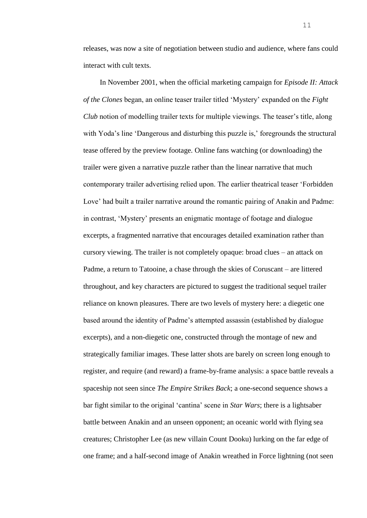releases, was now a site of negotiation between studio and audience, where fans could interact with cult texts.

In November 2001, when the official marketing campaign for *Episode II: Attack of the Clones* began, an online teaser trailer titled 'Mystery' expanded on the *Fight Club* notion of modelling trailer texts for multiple viewings. The teaser's title, along with Yoda's line 'Dangerous and disturbing this puzzle is,' foregrounds the structural tease offered by the preview footage. Online fans watching (or downloading) the trailer were given a narrative puzzle rather than the linear narrative that much contemporary trailer advertising relied upon. The earlier theatrical teaser 'Forbidden Love' had built a trailer narrative around the romantic pairing of Anakin and Padme: in contrast, 'Mystery' presents an enigmatic montage of footage and dialogue excerpts, a fragmented narrative that encourages detailed examination rather than cursory viewing. The trailer is not completely opaque: broad clues – an attack on Padme, a return to Tatooine, a chase through the skies of Coruscant – are littered throughout, and key characters are pictured to suggest the traditional sequel trailer reliance on known pleasures. There are two levels of mystery here: a diegetic one based around the identity of Padme's attempted assassin (established by dialogue excerpts), and a non-diegetic one, constructed through the montage of new and strategically familiar images. These latter shots are barely on screen long enough to register, and require (and reward) a frame-by-frame analysis: a space battle reveals a spaceship not seen since *The Empire Strikes Back*; a one-second sequence shows a bar fight similar to the original 'cantina' scene in *Star Wars*; there is a lightsaber battle between Anakin and an unseen opponent; an oceanic world with flying sea creatures; Christopher Lee (as new villain Count Dooku) lurking on the far edge of one frame; and a half-second image of Anakin wreathed in Force lightning (not seen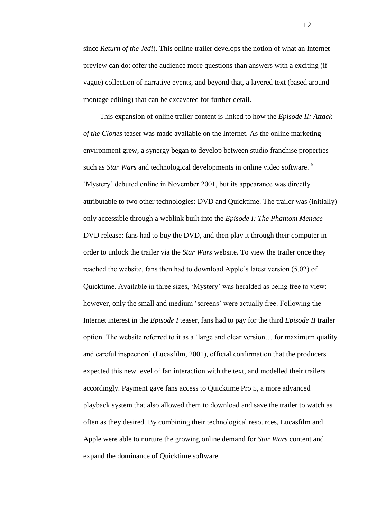since *Return of the Jedi*). This online trailer develops the notion of what an Internet preview can do: offer the audience more questions than answers with a exciting (if vague) collection of narrative events, and beyond that, a layered text (based around montage editing) that can be excavated for further detail.

This expansion of online trailer content is linked to how the *Episode II: Attack of the Clones* teaser was made available on the Internet. As the online marketing environment grew, a synergy began to develop between studio franchise properties such as *Star Wars* and technological developments in online video software. <sup>5</sup> 'Mystery' debuted online in November 2001, but its appearance was directly attributable to two other technologies: DVD and Quicktime. The trailer was (initially) only accessible through a weblink built into the *Episode I: The Phantom Menace* DVD release: fans had to buy the DVD, and then play it through their computer in order to unlock the trailer via the *Star Wars* website. To view the trailer once they reached the website, fans then had to download Apple's latest version (5.02) of Quicktime. Available in three sizes, 'Mystery' was heralded as being free to view: however, only the small and medium 'screens' were actually free. Following the Internet interest in the *Episode I* teaser, fans had to pay for the third *Episode II* trailer option. The website referred to it as a 'large and clear version… for maximum quality and careful inspection' (Lucasfilm, 2001), official confirmation that the producers expected this new level of fan interaction with the text, and modelled their trailers accordingly. Payment gave fans access to Quicktime Pro 5, a more advanced playback system that also allowed them to download and save the trailer to watch as often as they desired. By combining their technological resources, Lucasfilm and Apple were able to nurture the growing online demand for *Star Wars* content and expand the dominance of Quicktime software.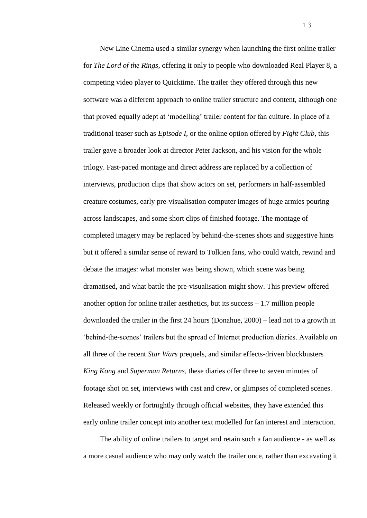New Line Cinema used a similar synergy when launching the first online trailer for *The Lord of the Rings*, offering it only to people who downloaded Real Player 8, a competing video player to Quicktime. The trailer they offered through this new software was a different approach to online trailer structure and content, although one that proved equally adept at 'modelling' trailer content for fan culture. In place of a traditional teaser such as *Episode I*, or the online option offered by *Fight Club*, this trailer gave a broader look at director Peter Jackson, and his vision for the whole trilogy. Fast-paced montage and direct address are replaced by a collection of interviews, production clips that show actors on set, performers in half-assembled creature costumes, early pre-visualisation computer images of huge armies pouring across landscapes, and some short clips of finished footage. The montage of completed imagery may be replaced by behind-the-scenes shots and suggestive hints but it offered a similar sense of reward to Tolkien fans, who could watch, rewind and debate the images: what monster was being shown, which scene was being dramatised, and what battle the pre-visualisation might show. This preview offered another option for online trailer aesthetics, but its success – 1.7 million people downloaded the trailer in the first 24 hours (Donahue, 2000) – lead not to a growth in 'behind-the-scenes' trailers but the spread of Internet production diaries. Available on all three of the recent *Star Wars* prequels, and similar effects-driven blockbusters *King Kong* and *Superman Returns*, these diaries offer three to seven minutes of footage shot on set, interviews with cast and crew, or glimpses of completed scenes. Released weekly or fortnightly through official websites, they have extended this early online trailer concept into another text modelled for fan interest and interaction.

The ability of online trailers to target and retain such a fan audience - as well as a more casual audience who may only watch the trailer once, rather than excavating it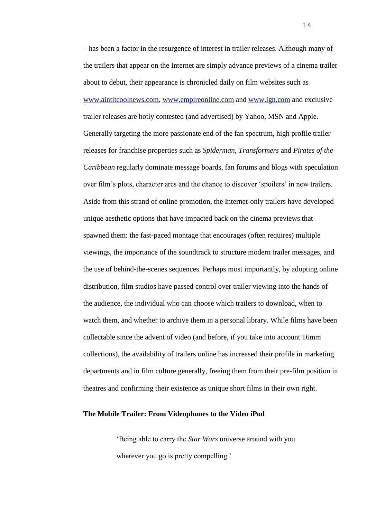– has been a factor in the resurgence of interest in trailer releases. Although many of the trailers that appear on the Internet are simply advance previews of a cinema trailer about to debut, their appearance is chronicled daily on film websites such as [www.aintitcoolnews.com,](http://www.aintitcoolnews.com/) [www.empireonline.com](http://www.empireonline.com/) and [www.ign.com](http://www.ign.com/) and exclusive trailer releases are hotly contested (and advertised) by Yahoo, MSN and Apple. Generally targeting the more passionate end of the fan spectrum, high profile trailer releases for franchise properties such as *Spiderman*, *Transformers* and *Pirates of the Caribbean* regularly dominate message boards, fan forums and blogs with speculation over film's plots, character arcs and the chance to discover 'spoilers' in new trailers. Aside from this strand of online promotion, the Internet-only trailers have developed unique aesthetic options that have impacted back on the cinema previews that spawned them: the fast-paced montage that encourages (often requires) multiple viewings, the importance of the soundtrack to structure modern trailer messages, and the use of behind-the-scenes sequences. Perhaps most importantly, by adopting online distribution, film studios have passed control over trailer viewing into the hands of the audience, the individual who can choose which trailers to download, when to watch them, and whether to archive them in a personal library. While films have been collectable since the advent of video (and before, if you take into account 16mm collections), the availability of trailers online has increased their profile in marketing departments and in film culture generally, freeing them from their pre-film position in theatres and confirming their existence as unique short films in their own right.

## **The Mobile Trailer: From Videophones to the Video iPod**

'Being able to carry the *Star Wars* universe around with you wherever you go is pretty compelling.'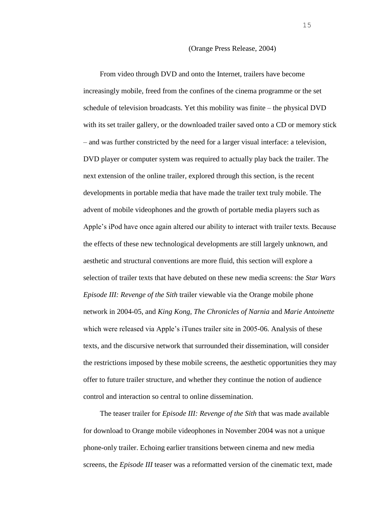#### (Orange Press Release, 2004)

From video through DVD and onto the Internet, trailers have become increasingly mobile, freed from the confines of the cinema programme or the set schedule of television broadcasts. Yet this mobility was finite – the physical DVD with its set trailer gallery, or the downloaded trailer saved onto a CD or memory stick – and was further constricted by the need for a larger visual interface: a television, DVD player or computer system was required to actually play back the trailer. The next extension of the online trailer, explored through this section, is the recent developments in portable media that have made the trailer text truly mobile. The advent of mobile videophones and the growth of portable media players such as Apple's iPod have once again altered our ability to interact with trailer texts. Because the effects of these new technological developments are still largely unknown, and aesthetic and structural conventions are more fluid, this section will explore a selection of trailer texts that have debuted on these new media screens: the *Star Wars Episode III: Revenge of the Sith* trailer viewable via the Orange mobile phone network in 2004-05, and *King Kong, The Chronicles of Narnia* and *Marie Antoinette*  which were released via Apple's iTunes trailer site in 2005-06. Analysis of these texts, and the discursive network that surrounded their dissemination, will consider the restrictions imposed by these mobile screens, the aesthetic opportunities they may offer to future trailer structure, and whether they continue the notion of audience control and interaction so central to online dissemination.

The teaser trailer for *Episode III: Revenge of the Sith* that was made available for download to Orange mobile videophones in November 2004 was not a unique phone-only trailer. Echoing earlier transitions between cinema and new media screens, the *Episode III* teaser was a reformatted version of the cinematic text, made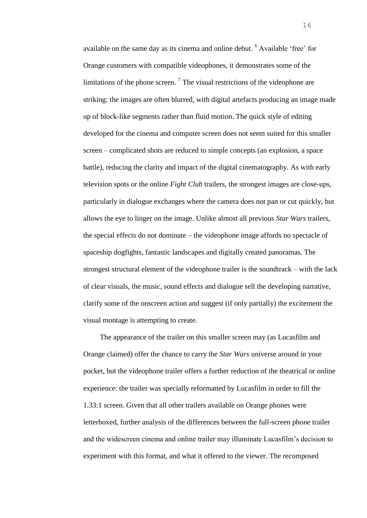available on the same day as its cinema and online debut. <sup>6</sup> Available 'free' for Orange customers with compatible videophones, it demonstrates some of the limitations of the phone screen.<sup>7</sup> The visual restrictions of the videophone are striking: the images are often blurred, with digital artefacts producing an image made up of block-like segments rather than fluid motion. The quick style of editing developed for the cinema and computer screen does not seem suited for this smaller screen – complicated shots are reduced to simple concepts (an explosion, a space battle), reducing the clarity and impact of the digital cinematography. As with early television spots or the online *Fight Club* trailers, the strongest images are close-ups, particularly in dialogue exchanges where the camera does not pan or cut quickly, but allows the eye to linger on the image. Unlike almost all previous *Star Wars* trailers, the special effects do not dominate – the videophone image affords no spectacle of spaceship dogfights, fantastic landscapes and digitally created panoramas. The strongest structural element of the videophone trailer is the soundtrack – with the lack of clear visuals, the music, sound effects and dialogue sell the developing narrative, clarify some of the onscreen action and suggest (if only partially) the excitement the visual montage is attempting to create.

The appearance of the trailer on this smaller screen may (as Lucasfilm and Orange claimed) offer the chance to carry the *Star Wars* universe around in your pocket, but the videophone trailer offers a further reduction of the theatrical or online experience: the trailer was specially reformatted by Lucasfilm in order to fill the 1.33:1 screen. Given that all other trailers available on Orange phones were letterboxed, further analysis of the differences between the full-screen phone trailer and the widescreen cinema and online trailer may illuminate Lucasfilm's decision to experiment with this format, and what it offered to the viewer. The recomposed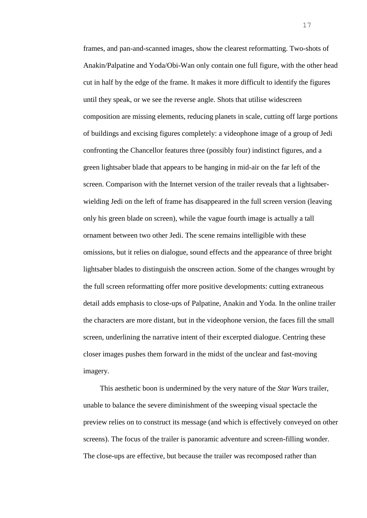frames, and pan-and-scanned images, show the clearest reformatting. Two-shots of Anakin/Palpatine and Yoda/Obi-Wan only contain one full figure, with the other head cut in half by the edge of the frame. It makes it more difficult to identify the figures until they speak, or we see the reverse angle. Shots that utilise widescreen composition are missing elements, reducing planets in scale, cutting off large portions of buildings and excising figures completely: a videophone image of a group of Jedi confronting the Chancellor features three (possibly four) indistinct figures, and a green lightsaber blade that appears to be hanging in mid-air on the far left of the screen. Comparison with the Internet version of the trailer reveals that a lightsaberwielding Jedi on the left of frame has disappeared in the full screen version (leaving only his green blade on screen), while the vague fourth image is actually a tall ornament between two other Jedi. The scene remains intelligible with these omissions, but it relies on dialogue, sound effects and the appearance of three bright lightsaber blades to distinguish the onscreen action. Some of the changes wrought by the full screen reformatting offer more positive developments: cutting extraneous detail adds emphasis to close-ups of Palpatine, Anakin and Yoda. In the online trailer the characters are more distant, but in the videophone version, the faces fill the small screen, underlining the narrative intent of their excerpted dialogue. Centring these closer images pushes them forward in the midst of the unclear and fast-moving imagery.

This aesthetic boon is undermined by the very nature of the *Star Wars* trailer, unable to balance the severe diminishment of the sweeping visual spectacle the preview relies on to construct its message (and which is effectively conveyed on other screens). The focus of the trailer is panoramic adventure and screen-filling wonder. The close-ups are effective, but because the trailer was recomposed rather than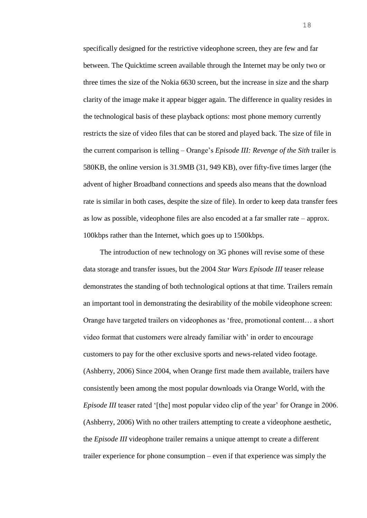specifically designed for the restrictive videophone screen, they are few and far between. The Quicktime screen available through the Internet may be only two or three times the size of the Nokia 6630 screen, but the increase in size and the sharp clarity of the image make it appear bigger again. The difference in quality resides in the technological basis of these playback options: most phone memory currently restricts the size of video files that can be stored and played back. The size of file in the current comparison is telling – Orange's *Episode III: Revenge of the Sith* trailer is 580KB, the online version is 31.9MB (31, 949 KB), over fifty-five times larger (the advent of higher Broadband connections and speeds also means that the download rate is similar in both cases, despite the size of file). In order to keep data transfer fees as low as possible, videophone files are also encoded at a far smaller rate – approx. 100kbps rather than the Internet, which goes up to 1500kbps.

The introduction of new technology on 3G phones will revise some of these data storage and transfer issues, but the 2004 *Star Wars Episode III* teaser release demonstrates the standing of both technological options at that time. Trailers remain an important tool in demonstrating the desirability of the mobile videophone screen: Orange have targeted trailers on videophones as 'free, promotional content… a short video format that customers were already familiar with' in order to encourage customers to pay for the other exclusive sports and news-related video footage. (Ashberry, 2006) Since 2004, when Orange first made them available, trailers have consistently been among the most popular downloads via Orange World, with the *Episode III* teaser rated '[the] most popular video clip of the year' for Orange in 2006. (Ashberry, 2006) With no other trailers attempting to create a videophone aesthetic, the *Episode III* videophone trailer remains a unique attempt to create a different trailer experience for phone consumption – even if that experience was simply the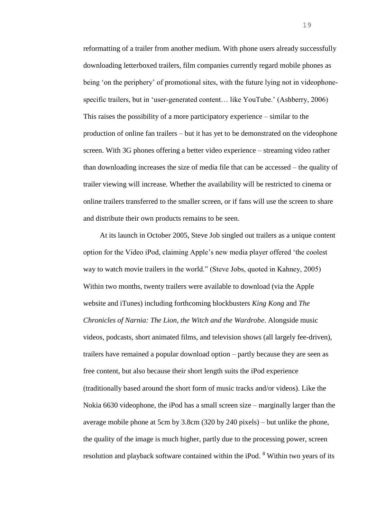reformatting of a trailer from another medium. With phone users already successfully downloading letterboxed trailers, film companies currently regard mobile phones as being 'on the periphery' of promotional sites, with the future lying not in videophonespecific trailers, but in 'user-generated content… like YouTube.' (Ashberry, 2006) This raises the possibility of a more participatory experience – similar to the production of online fan trailers – but it has yet to be demonstrated on the videophone screen. With 3G phones offering a better video experience – streaming video rather than downloading increases the size of media file that can be accessed – the quality of trailer viewing will increase. Whether the availability will be restricted to cinema or online trailers transferred to the smaller screen, or if fans will use the screen to share and distribute their own products remains to be seen.

At its launch in October 2005, Steve Job singled out trailers as a unique content option for the Video iPod, claiming Apple's new media player offered 'the coolest way to watch movie trailers in the world." (Steve Jobs, quoted in Kahney, 2005) Within two months, twenty trailers were available to download (via the Apple website and iTunes) including forthcoming blockbusters *King Kong* and *The Chronicles of Narnia: The Lion, the Witch and the Wardrobe*. Alongside music videos, podcasts, short animated films, and television shows (all largely fee-driven), trailers have remained a popular download option – partly because they are seen as free content, but also because their short length suits the iPod experience (traditionally based around the short form of music tracks and/or videos). Like the Nokia 6630 videophone, the iPod has a small screen size – marginally larger than the average mobile phone at 5cm by 3.8cm (320 by 240 pixels) – but unlike the phone, the quality of the image is much higher, partly due to the processing power, screen resolution and playback software contained within the iPod. <sup>8</sup> Within two years of its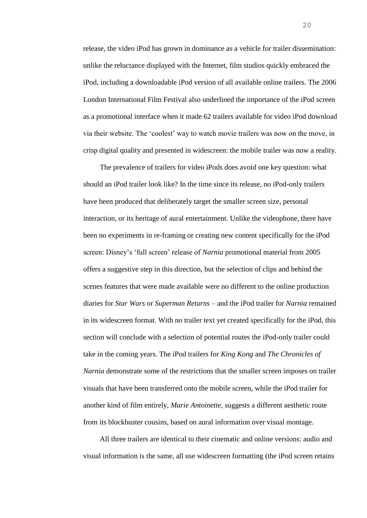release, the video iPod has grown in dominance as a vehicle for trailer dissemination: unlike the reluctance displayed with the Internet, film studios quickly embraced the iPod, including a downloadable iPod version of all available online trailers. The 2006 London International Film Festival also underlined the importance of the iPod screen as a promotional interface when it made 62 trailers available for video iPod download via their website. The 'coolest' way to watch movie trailers was now on the move, in crisp digital quality and presented in widescreen: the mobile trailer was now a reality.

The prevalence of trailers for video iPods does avoid one key question: what should an iPod trailer look like? In the time since its release, no iPod-only trailers have been produced that deliberately target the smaller screen size, personal interaction, or its heritage of aural entertainment. Unlike the videophone, there have been no experiments in re-framing or creating new content specifically for the iPod screen: Disney's 'full screen' release of *Narnia* promotional material from 2005 offers a suggestive step in this direction, but the selection of clips and behind the scenes features that were made available were no different to the online production diaries for *Star Wars* or *Superman Returns* – and the iPod trailer for *Narnia* remained in its widescreen format. With no trailer text yet created specifically for the iPod, this section will conclude with a selection of potential routes the iPod-only trailer could take in the coming years. The iPod trailers for *King Kong* and *The Chronicles of Narnia* demonstrate some of the restrictions that the smaller screen imposes on trailer visuals that have been transferred onto the mobile screen, while the iPod trailer for another kind of film entirely, *Marie Antoinette*, suggests a different aesthetic route from its blockbuster cousins, based on aural information over visual montage.

All three trailers are identical to their cinematic and online versions: audio and visual information is the same, all use widescreen formatting (the iPod screen retains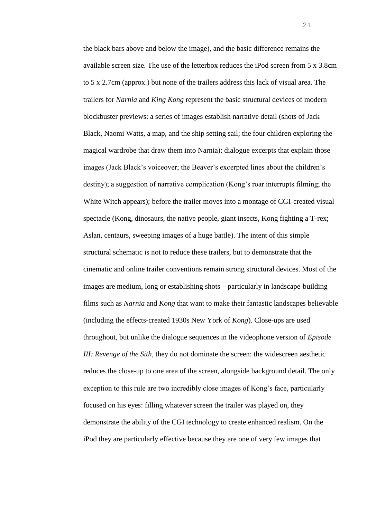the black bars above and below the image), and the basic difference remains the available screen size. The use of the letterbox reduces the iPod screen from 5 x 3.8cm to 5 x 2.7cm (approx.) but none of the trailers address this lack of visual area. The trailers for *Narnia* and *King Kong* represent the basic structural devices of modern blockbuster previews: a series of images establish narrative detail (shots of Jack Black, Naomi Watts, a map, and the ship setting sail; the four children exploring the magical wardrobe that draw them into Narnia); dialogue excerpts that explain those images (Jack Black's voiceover; the Beaver's excerpted lines about the children's destiny); a suggestion of narrative complication (Kong's roar interrupts filming; the White Witch appears); before the trailer moves into a montage of CGI-created visual spectacle (Kong, dinosaurs, the native people, giant insects, Kong fighting a T-rex; Aslan, centaurs, sweeping images of a huge battle). The intent of this simple structural schematic is not to reduce these trailers, but to demonstrate that the cinematic and online trailer conventions remain strong structural devices. Most of the images are medium, long or establishing shots – particularly in landscape-building films such as *Narnia* and *Kong* that want to make their fantastic landscapes believable (including the effects-created 1930s New York of *Kong*). Close-ups are used throughout, but unlike the dialogue sequences in the videophone version of *Episode III: Revenge of the Sith*, they do not dominate the screen: the widescreen aesthetic reduces the close-up to one area of the screen, alongside background detail. The only exception to this rule are two incredibly close images of Kong's face, particularly focused on his eyes: filling whatever screen the trailer was played on, they demonstrate the ability of the CGI technology to create enhanced realism. On the iPod they are particularly effective because they are one of very few images that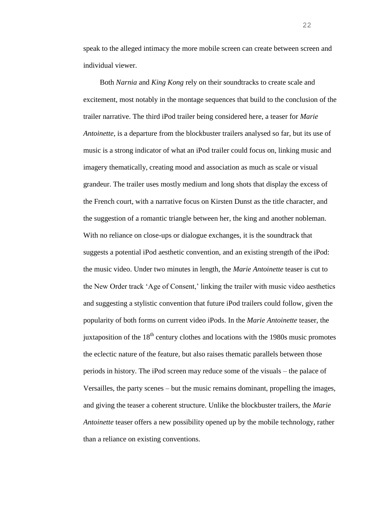speak to the alleged intimacy the more mobile screen can create between screen and individual viewer.

Both *Narnia* and *King Kong* rely on their soundtracks to create scale and excitement, most notably in the montage sequences that build to the conclusion of the trailer narrative. The third iPod trailer being considered here, a teaser for *Marie Antoinette*, is a departure from the blockbuster trailers analysed so far, but its use of music is a strong indicator of what an iPod trailer could focus on, linking music and imagery thematically, creating mood and association as much as scale or visual grandeur. The trailer uses mostly medium and long shots that display the excess of the French court, with a narrative focus on Kirsten Dunst as the title character, and the suggestion of a romantic triangle between her, the king and another nobleman. With no reliance on close-ups or dialogue exchanges, it is the soundtrack that suggests a potential iPod aesthetic convention, and an existing strength of the iPod: the music video. Under two minutes in length, the *Marie Antoinette* teaser is cut to the New Order track 'Age of Consent,' linking the trailer with music video aesthetics and suggesting a stylistic convention that future iPod trailers could follow, given the popularity of both forms on current video iPods. In the *Marie Antoinette* teaser, the juxtaposition of the  $18<sup>th</sup>$  century clothes and locations with the 1980s music promotes the eclectic nature of the feature, but also raises thematic parallels between those periods in history. The iPod screen may reduce some of the visuals – the palace of Versailles, the party scenes – but the music remains dominant, propelling the images, and giving the teaser a coherent structure. Unlike the blockbuster trailers, the *Marie Antoinette* teaser offers a new possibility opened up by the mobile technology, rather than a reliance on existing conventions.

22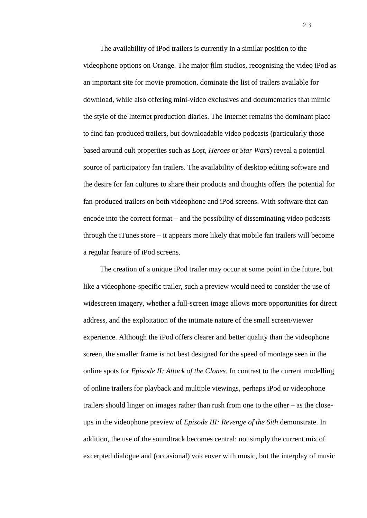The availability of iPod trailers is currently in a similar position to the videophone options on Orange. The major film studios, recognising the video iPod as an important site for movie promotion, dominate the list of trailers available for download, while also offering mini-video exclusives and documentaries that mimic the style of the Internet production diaries. The Internet remains the dominant place to find fan-produced trailers, but downloadable video podcasts (particularly those based around cult properties such as *Lost, Heroes* or *Star Wars*) reveal a potential source of participatory fan trailers. The availability of desktop editing software and the desire for fan cultures to share their products and thoughts offers the potential for fan-produced trailers on both videophone and iPod screens. With software that can encode into the correct format – and the possibility of disseminating video podcasts through the iTunes store – it appears more likely that mobile fan trailers will become a regular feature of iPod screens.

The creation of a unique iPod trailer may occur at some point in the future, but like a videophone-specific trailer, such a preview would need to consider the use of widescreen imagery, whether a full-screen image allows more opportunities for direct address, and the exploitation of the intimate nature of the small screen/viewer experience. Although the iPod offers clearer and better quality than the videophone screen, the smaller frame is not best designed for the speed of montage seen in the online spots for *Episode II: Attack of the Clones*. In contrast to the current modelling of online trailers for playback and multiple viewings, perhaps iPod or videophone trailers should linger on images rather than rush from one to the other – as the closeups in the videophone preview of *Episode III: Revenge of the Sith* demonstrate. In addition, the use of the soundtrack becomes central: not simply the current mix of excerpted dialogue and (occasional) voiceover with music, but the interplay of music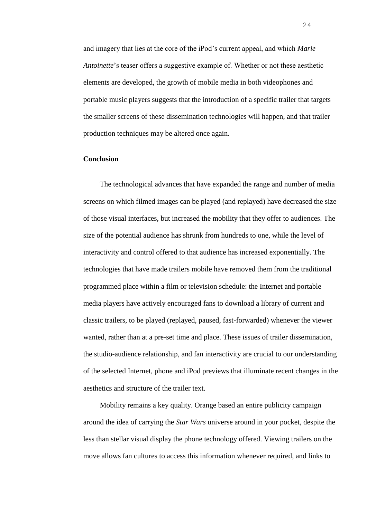and imagery that lies at the core of the iPod's current appeal, and which *Marie Antoinette*'s teaser offers a suggestive example of. Whether or not these aesthetic elements are developed, the growth of mobile media in both videophones and portable music players suggests that the introduction of a specific trailer that targets the smaller screens of these dissemination technologies will happen, and that trailer production techniques may be altered once again.

### **Conclusion**

The technological advances that have expanded the range and number of media screens on which filmed images can be played (and replayed) have decreased the size of those visual interfaces, but increased the mobility that they offer to audiences. The size of the potential audience has shrunk from hundreds to one, while the level of interactivity and control offered to that audience has increased exponentially. The technologies that have made trailers mobile have removed them from the traditional programmed place within a film or television schedule: the Internet and portable media players have actively encouraged fans to download a library of current and classic trailers, to be played (replayed, paused, fast-forwarded) whenever the viewer wanted, rather than at a pre-set time and place. These issues of trailer dissemination, the studio-audience relationship, and fan interactivity are crucial to our understanding of the selected Internet, phone and iPod previews that illuminate recent changes in the aesthetics and structure of the trailer text.

Mobility remains a key quality. Orange based an entire publicity campaign around the idea of carrying the *Star Wars* universe around in your pocket, despite the less than stellar visual display the phone technology offered. Viewing trailers on the move allows fan cultures to access this information whenever required, and links to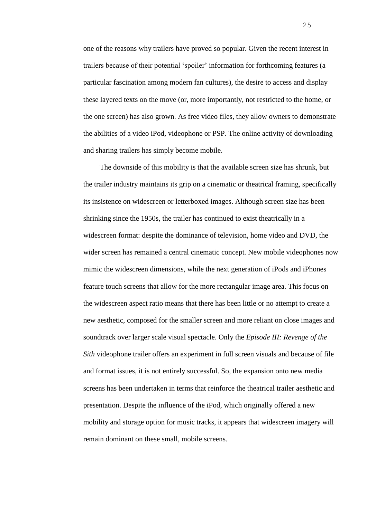one of the reasons why trailers have proved so popular. Given the recent interest in trailers because of their potential 'spoiler' information for forthcoming features (a particular fascination among modern fan cultures), the desire to access and display these layered texts on the move (or, more importantly, not restricted to the home, or the one screen) has also grown. As free video files, they allow owners to demonstrate the abilities of a video iPod, videophone or PSP. The online activity of downloading and sharing trailers has simply become mobile.

The downside of this mobility is that the available screen size has shrunk, but the trailer industry maintains its grip on a cinematic or theatrical framing, specifically its insistence on widescreen or letterboxed images. Although screen size has been shrinking since the 1950s, the trailer has continued to exist theatrically in a widescreen format: despite the dominance of television, home video and DVD, the wider screen has remained a central cinematic concept. New mobile videophones now mimic the widescreen dimensions, while the next generation of iPods and iPhones feature touch screens that allow for the more rectangular image area. This focus on the widescreen aspect ratio means that there has been little or no attempt to create a new aesthetic, composed for the smaller screen and more reliant on close images and soundtrack over larger scale visual spectacle. Only the *Episode III: Revenge of the Sith* videophone trailer offers an experiment in full screen visuals and because of file and format issues, it is not entirely successful. So, the expansion onto new media screens has been undertaken in terms that reinforce the theatrical trailer aesthetic and presentation. Despite the influence of the iPod, which originally offered a new mobility and storage option for music tracks, it appears that widescreen imagery will remain dominant on these small, mobile screens.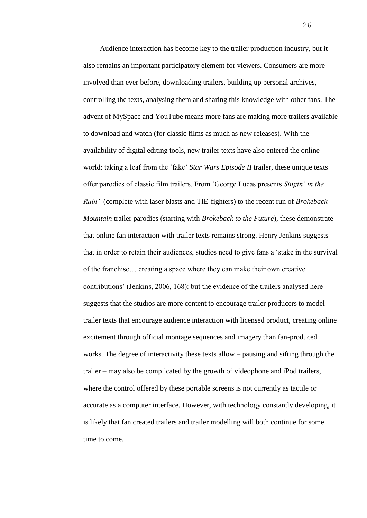Audience interaction has become key to the trailer production industry, but it also remains an important participatory element for viewers. Consumers are more involved than ever before, downloading trailers, building up personal archives, controlling the texts, analysing them and sharing this knowledge with other fans. The advent of MySpace and YouTube means more fans are making more trailers available to download and watch (for classic films as much as new releases). With the availability of digital editing tools, new trailer texts have also entered the online world: taking a leaf from the 'fake' *Star Wars Episode II* trailer, these unique texts offer parodies of classic film trailers. From 'George Lucas presents *Singin' in the Rain'* (complete with laser blasts and TIE-fighters) to the recent run of *Brokeback Mountain* trailer parodies (starting with *Brokeback to the Future*), these demonstrate that online fan interaction with trailer texts remains strong. Henry Jenkins suggests that in order to retain their audiences, studios need to give fans a 'stake in the survival of the franchise… creating a space where they can make their own creative contributions' (Jenkins, 2006, 168): but the evidence of the trailers analysed here suggests that the studios are more content to encourage trailer producers to model trailer texts that encourage audience interaction with licensed product, creating online excitement through official montage sequences and imagery than fan-produced works. The degree of interactivity these texts allow – pausing and sifting through the trailer – may also be complicated by the growth of videophone and iPod trailers, where the control offered by these portable screens is not currently as tactile or accurate as a computer interface. However, with technology constantly developing, it is likely that fan created trailers and trailer modelling will both continue for some time to come.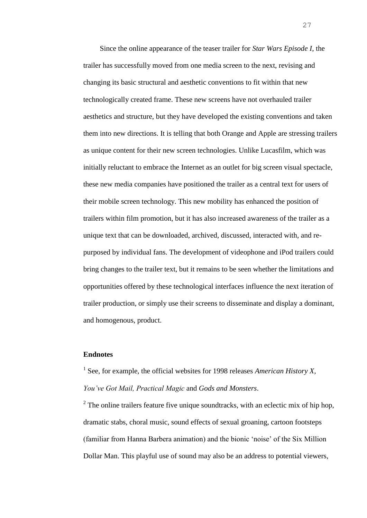Since the online appearance of the teaser trailer for *Star Wars Episode I*, the trailer has successfully moved from one media screen to the next, revising and changing its basic structural and aesthetic conventions to fit within that new technologically created frame. These new screens have not overhauled trailer aesthetics and structure, but they have developed the existing conventions and taken them into new directions. It is telling that both Orange and Apple are stressing trailers as unique content for their new screen technologies. Unlike Lucasfilm, which was initially reluctant to embrace the Internet as an outlet for big screen visual spectacle, these new media companies have positioned the trailer as a central text for users of their mobile screen technology. This new mobility has enhanced the position of trailers within film promotion, but it has also increased awareness of the trailer as a unique text that can be downloaded, archived, discussed, interacted with, and repurposed by individual fans. The development of videophone and iPod trailers could bring changes to the trailer text, but it remains to be seen whether the limitations and opportunities offered by these technological interfaces influence the next iteration of trailer production, or simply use their screens to disseminate and display a dominant, and homogenous, product.

# **Endnotes**

<sup>1</sup> See, for example, the official websites for 1998 releases *American History X*, *You've Got Mail, Practical Magic* and *Gods and Monsters*.

 $2^2$  The online trailers feature five unique soundtracks, with an eclectic mix of hip hop, dramatic stabs, choral music, sound effects of sexual groaning, cartoon footsteps (familiar from Hanna Barbera animation) and the bionic 'noise' of the Six Million Dollar Man. This playful use of sound may also be an address to potential viewers,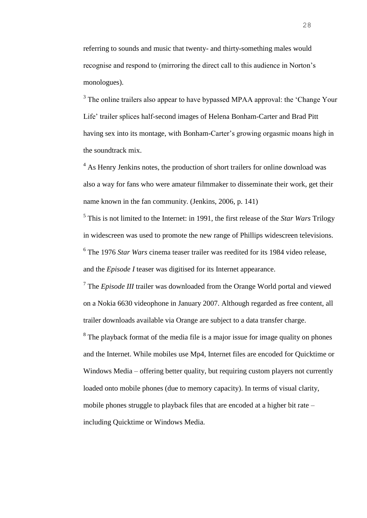referring to sounds and music that twenty- and thirty-something males would recognise and respond to (mirroring the direct call to this audience in Norton's monologues).

 $3$  The online trailers also appear to have bypassed MPAA approval: the 'Change Your Life' trailer splices half-second images of Helena Bonham-Carter and Brad Pitt having sex into its montage, with Bonham-Carter's growing orgasmic moans high in the soundtrack mix.

<sup>4</sup> As Henry Jenkins notes, the production of short trailers for online download was also a way for fans who were amateur filmmaker to disseminate their work, get their name known in the fan community. (Jenkins, 2006, p. 141)

5 This is not limited to the Internet: in 1991, the first release of the *Star Wars* Trilogy in widescreen was used to promote the new range of Phillips widescreen televisions. 6 The 1976 *Star Wars* cinema teaser trailer was reedited for its 1984 video release, and the *Episode I* teaser was digitised for its Internet appearance.

<sup>7</sup> The *Episode III* trailer was downloaded from the Orange World portal and viewed on a Nokia 6630 videophone in January 2007. Although regarded as free content, all trailer downloads available via Orange are subject to a data transfer charge.

<sup>8</sup> The playback format of the media file is a major issue for image quality on phones and the Internet. While mobiles use Mp4, Internet files are encoded for Quicktime or Windows Media – offering better quality, but requiring custom players not currently loaded onto mobile phones (due to memory capacity). In terms of visual clarity, mobile phones struggle to playback files that are encoded at a higher bit rate – including Quicktime or Windows Media.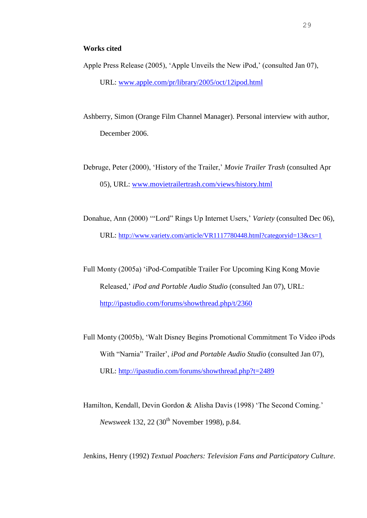- Apple Press Release (2005), 'Apple Unveils the New iPod,' (consulted Jan 07), URL: [www.apple.com/pr/library/2005/oct/12ipod.html](http://www.apple.com/pr/library/2005/oct/12ipod.html)
- Ashberry, Simon (Orange Film Channel Manager). Personal interview with author, December 2006.
- Debruge, Peter (2000), 'History of the Trailer,' *Movie Trailer Trash* (consulted Apr 05), URL: [www.movietrailertrash.com/views/history.html](http://www.movietrailertrash.com/views/history.html)
- Donahue, Ann (2000) '"Lord" Rings Up Internet Users,' *Variety* (consulted Dec 06), URL: <http://www.variety.com/article/VR1117780448.html?categoryid=13&cs=1>
- Full Monty (2005a) 'iPod-Compatible Trailer For Upcoming King Kong Movie Released,' *iPod and Portable Audio Studio* (consulted Jan 07), URL: <http://ipastudio.com/forums/showthread.php/t/2360>
- Full Monty (2005b), 'Walt Disney Begins Promotional Commitment To Video iPods With "Narnia" Trailer', *iPod and Portable Audio Studio* (consulted Jan 07), URL: <http://ipastudio.com/forums/showthread.php?t=2489>
- Hamilton, Kendall, Devin Gordon & Alisha Davis (1998) 'The Second Coming.' *Newsweek* 132, 22 (30<sup>th</sup> November 1998), p.84.
- Jenkins, Henry (1992) *Textual Poachers: Television Fans and Participatory Culture*.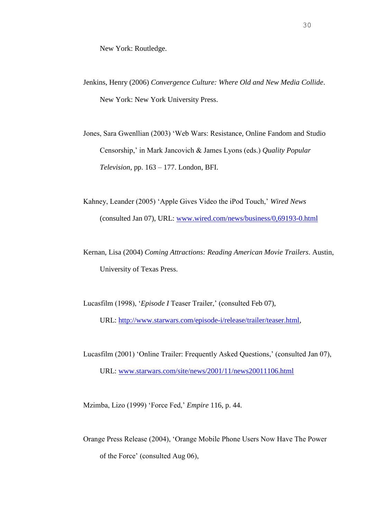- Jenkins, Henry (2006) *Convergence Culture: Where Old and New Media Collide*. New York: New York University Press.
- Jones, Sara Gwenllian (2003) 'Web Wars: Resistance, Online Fandom and Studio Censorship,' in Mark Jancovich & James Lyons (eds.) *Quality Popular Television*, pp. 163 – 177. London, BFI.
- Kahney, Leander (2005) 'Apple Gives Video the iPod Touch,' *Wired News* (consulted Jan 07), URL: [www.wired.com/news/business/0,69193-0.html](http://www.wired.com/news/business/0,69193-0.html)
- Kernan, Lisa (2004) *Coming Attractions: Reading American Movie Trailers*. Austin, University of Texas Press.
- Lucasfilm (1998), '*Episode I* Teaser Trailer,' (consulted Feb 07), URL: [http://www.starwars.com/episode-i/release/trailer/teaser.html,](http://www.starwars.com/episode-i/release/trailer/teaser.html)
- Lucasfilm (2001) 'Online Trailer: Frequently Asked Questions,' (consulted Jan 07), URL: [www.starwars.com/site/news/2001/11/news20011106.html](http://www.starwars.com/site/news/2001/11/news20011106.html)

Mzimba, Lizo (1999) 'Force Fed,' *Empire* 116, p. 44.

Orange Press Release (2004), 'Orange Mobile Phone Users Now Have The Power of the Force' (consulted Aug 06),